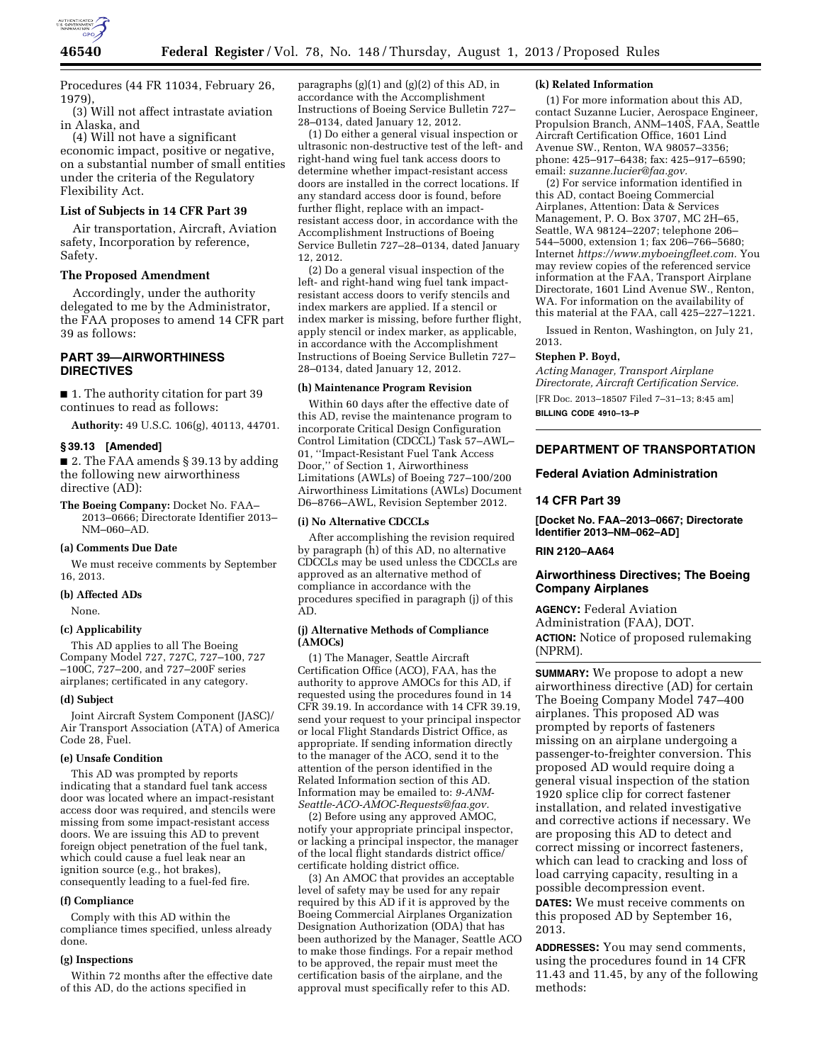

Procedures (44 FR 11034, February 26, 1979),

(3) Will not affect intrastate aviation in Alaska, and

(4) Will not have a significant economic impact, positive or negative, on a substantial number of small entities under the criteria of the Regulatory Flexibility Act.

### **List of Subjects in 14 CFR Part 39**

Air transportation, Aircraft, Aviation safety, Incorporation by reference, Safety.

## **The Proposed Amendment**

Accordingly, under the authority delegated to me by the Administrator, the FAA proposes to amend 14 CFR part 39 as follows:

# **PART 39—AIRWORTHINESS DIRECTIVES**

■ 1. The authority citation for part 39 continues to read as follows:

**Authority:** 49 U.S.C. 106(g), 40113, 44701.

#### **§ 39.13 [Amended]**

■ 2. The FAA amends § 39.13 by adding the following new airworthiness directive (AD):

**The Boeing Company:** Docket No. FAA– 2013–0666; Directorate Identifier 2013– NM–060–AD.

#### **(a) Comments Due Date**

We must receive comments by September 16, 2013.

#### **(b) Affected ADs**

None.

## **(c) Applicability**

This AD applies to all The Boeing Company Model 727, 727C, 727–100, 727 –100C, 727–200, and 727–200F series airplanes; certificated in any category.

### **(d) Subject**

Joint Aircraft System Component (JASC)/ Air Transport Association (ATA) of America Code 28, Fuel.

### **(e) Unsafe Condition**

This AD was prompted by reports indicating that a standard fuel tank access door was located where an impact-resistant access door was required, and stencils were missing from some impact-resistant access doors. We are issuing this AD to prevent foreign object penetration of the fuel tank, which could cause a fuel leak near an ignition source (e.g., hot brakes), consequently leading to a fuel-fed fire.

### **(f) Compliance**

Comply with this AD within the compliance times specified, unless already done.

### **(g) Inspections**

Within 72 months after the effective date of this AD, do the actions specified in

paragraphs  $(g)(1)$  and  $(g)(2)$  of this AD, in accordance with the Accomplishment Instructions of Boeing Service Bulletin 727– 28–0134, dated January 12, 2012.

(1) Do either a general visual inspection or ultrasonic non-destructive test of the left- and right-hand wing fuel tank access doors to determine whether impact-resistant access doors are installed in the correct locations. If any standard access door is found, before further flight, replace with an impactresistant access door, in accordance with the Accomplishment Instructions of Boeing Service Bulletin 727–28–0134, dated January 12, 2012.

(2) Do a general visual inspection of the left- and right-hand wing fuel tank impactresistant access doors to verify stencils and index markers are applied. If a stencil or index marker is missing, before further flight, apply stencil or index marker, as applicable, in accordance with the Accomplishment Instructions of Boeing Service Bulletin 727– 28–0134, dated January 12, 2012.

### **(h) Maintenance Program Revision**

Within 60 days after the effective date of this AD, revise the maintenance program to incorporate Critical Design Configuration Control Limitation (CDCCL) Task 57–AWL– 01, ''Impact-Resistant Fuel Tank Access Door,'' of Section 1, Airworthiness Limitations (AWLs) of Boeing 727–100/200 Airworthiness Limitations (AWLs) Document D6–8766–AWL, Revision September 2012.

## **(i) No Alternative CDCCLs**

After accomplishing the revision required by paragraph (h) of this AD, no alternative CDCCLs may be used unless the CDCCLs are approved as an alternative method of compliance in accordance with the procedures specified in paragraph (j) of this AD.

#### **(j) Alternative Methods of Compliance (AMOCs)**

(1) The Manager, Seattle Aircraft Certification Office (ACO), FAA, has the authority to approve AMOCs for this AD, if requested using the procedures found in 14 CFR 39.19. In accordance with 14 CFR 39.19, send your request to your principal inspector or local Flight Standards District Office, as appropriate. If sending information directly to the manager of the ACO, send it to the attention of the person identified in the Related Information section of this AD. Information may be emailed to: *[9-ANM-](mailto:9-ANM-Seattle-ACO-AMOC-Requests@faa.gov)[Seattle-ACO-AMOC-Requests@faa.gov.](mailto:9-ANM-Seattle-ACO-AMOC-Requests@faa.gov)* 

(2) Before using any approved AMOC, notify your appropriate principal inspector, or lacking a principal inspector, the manager of the local flight standards district office/ certificate holding district office.

(3) An AMOC that provides an acceptable level of safety may be used for any repair required by this AD if it is approved by the Boeing Commercial Airplanes Organization Designation Authorization (ODA) that has been authorized by the Manager, Seattle ACO to make those findings. For a repair method to be approved, the repair must meet the certification basis of the airplane, and the approval must specifically refer to this AD.

### **(k) Related Information**

(1) For more information about this AD, contact Suzanne Lucier, Aerospace Engineer, Propulsion Branch, ANM–140S, FAA, Seattle Aircraft Certification Office, 1601 Lind Avenue SW., Renton, WA 98057–3356; phone: 425–917–6438; fax: 425–917–6590; email: *[suzanne.lucier@faa.gov.](mailto:suzanne.lucier@faa.gov)* 

(2) For service information identified in this AD, contact Boeing Commercial Airplanes, Attention: Data & Services Management, P. O. Box 3707, MC 2H–65, Seattle, WA 98124–2207; telephone 206– 544–5000, extension 1; fax 206–766–5680; Internet *[https://www.myboeingfleet.com.](https://www.myboeingfleet.com)* You may review copies of the referenced service information at the FAA, Transport Airplane Directorate, 1601 Lind Avenue SW., Renton, WA. For information on the availability of this material at the FAA, call 425–227–1221.

Issued in Renton, Washington, on July 21, 2013.

#### **Stephen P. Boyd,**

*Acting Manager, Transport Airplane Directorate, Aircraft Certification Service.*  [FR Doc. 2013–18507 Filed 7–31–13; 8:45 am]

**BILLING CODE 4910–13–P** 

# **DEPARTMENT OF TRANSPORTATION**

**Federal Aviation Administration** 

## **14 CFR Part 39**

**[Docket No. FAA–2013–0667; Directorate Identifier 2013–NM–062–AD]** 

### **RIN 2120–AA64**

## **Airworthiness Directives; The Boeing Company Airplanes**

**AGENCY:** Federal Aviation Administration (FAA), DOT. **ACTION:** Notice of proposed rulemaking (NPRM).

**SUMMARY:** We propose to adopt a new airworthiness directive (AD) for certain The Boeing Company Model 747–400 airplanes. This proposed AD was prompted by reports of fasteners missing on an airplane undergoing a passenger-to-freighter conversion. This proposed AD would require doing a general visual inspection of the station 1920 splice clip for correct fastener installation, and related investigative and corrective actions if necessary. We are proposing this AD to detect and correct missing or incorrect fasteners, which can lead to cracking and loss of load carrying capacity, resulting in a possible decompression event.

**DATES:** We must receive comments on this proposed AD by September 16, 2013.

**ADDRESSES:** You may send comments, using the procedures found in 14 CFR 11.43 and 11.45, by any of the following methods: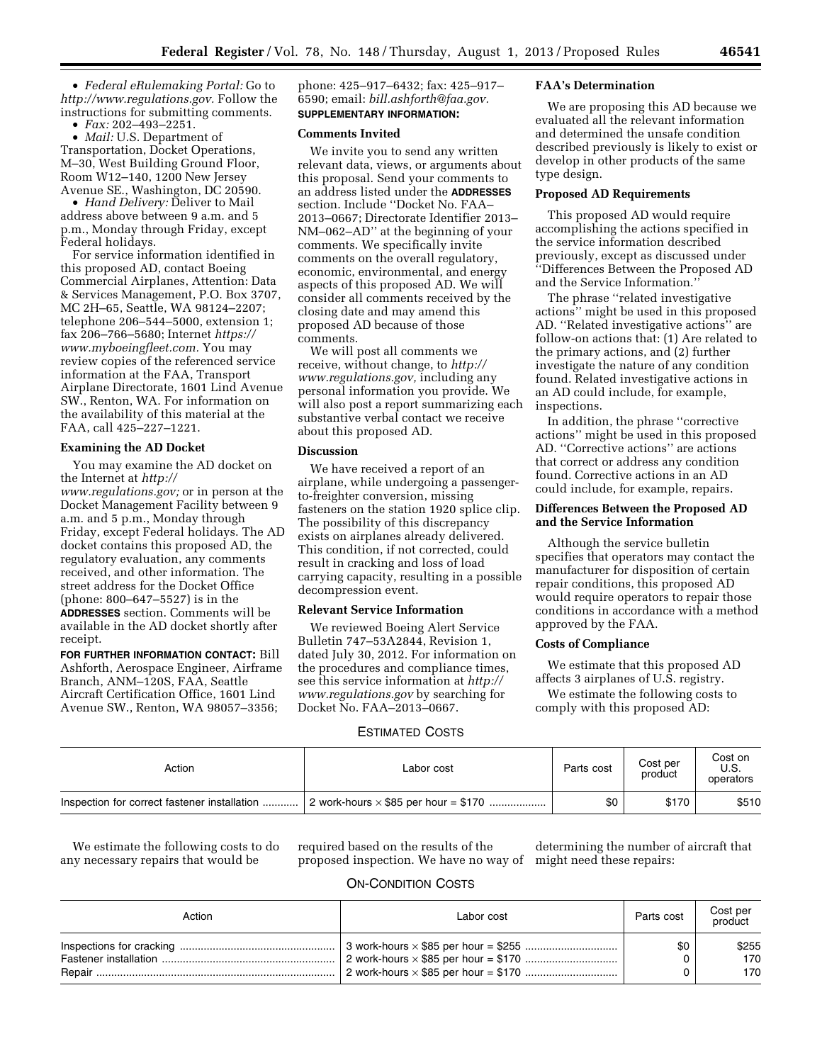• *Federal eRulemaking Portal:* Go to *[http://www.regulations.gov.](http://www.regulations.gov)* Follow the instructions for submitting comments.

• *Fax:* 202–493–2251.

• *Mail:* U.S. Department of Transportation, Docket Operations, M–30, West Building Ground Floor, Room W12–140, 1200 New Jersey Avenue SE., Washington, DC 20590.

• *Hand Delivery:* Deliver to Mail address above between 9 a.m. and 5 p.m., Monday through Friday, except Federal holidays.

For service information identified in this proposed AD, contact Boeing Commercial Airplanes, Attention: Data & Services Management, P.O. Box 3707, MC 2H–65, Seattle, WA 98124–2207; telephone 206–544–5000, extension 1; fax 206–766–5680; Internet *[https://](https://www.myboeingfleet.com) [www.myboeingfleet.com.](https://www.myboeingfleet.com)* You may review copies of the referenced service information at the FAA, Transport Airplane Directorate, 1601 Lind Avenue SW., Renton, WA. For information on the availability of this material at the FAA, call 425–227–1221.

## **Examining the AD Docket**

You may examine the AD docket on the Internet at *[http://](http://www.regulations.gov)* 

*[www.regulations.gov;](http://www.regulations.gov)* or in person at the Docket Management Facility between 9 a.m. and 5 p.m., Monday through Friday, except Federal holidays. The AD docket contains this proposed AD, the regulatory evaluation, any comments received, and other information. The street address for the Docket Office (phone: 800–647–5527) is in the **ADDRESSES** section. Comments will be available in the AD docket shortly after receipt.

**FOR FURTHER INFORMATION CONTACT:** Bill Ashforth, Aerospace Engineer, Airframe Branch, ANM–120S, FAA, Seattle Aircraft Certification Office, 1601 Lind Avenue SW., Renton, WA 98057–3356;

phone: 425–917–6432; fax: 425–917– 6590; email: *[bill.ashforth@faa.gov.](mailto:bill.ashforth@faa.gov)*  **SUPPLEMENTARY INFORMATION:** 

### **Comments Invited**

We invite you to send any written relevant data, views, or arguments about this proposal. Send your comments to an address listed under the **ADDRESSES** section. Include ''Docket No. FAA– 2013–0667; Directorate Identifier 2013– NM–062–AD'' at the beginning of your comments. We specifically invite comments on the overall regulatory, economic, environmental, and energy aspects of this proposed AD. We will consider all comments received by the closing date and may amend this proposed AD because of those comments.

We will post all comments we receive, without change, to *[http://](http://www.regulations.gov) [www.regulations.gov,](http://www.regulations.gov)* including any personal information you provide. We will also post a report summarizing each substantive verbal contact we receive about this proposed AD.

#### **Discussion**

We have received a report of an airplane, while undergoing a passengerto-freighter conversion, missing fasteners on the station 1920 splice clip. The possibility of this discrepancy exists on airplanes already delivered. This condition, if not corrected, could result in cracking and loss of load carrying capacity, resulting in a possible decompression event.

## **Relevant Service Information**

We reviewed Boeing Alert Service Bulletin 747–53A2844, Revision 1, dated July 30, 2012. For information on the procedures and compliance times, see this service information at *[http://](http://www.regulations.gov)  [www.regulations.gov](http://www.regulations.gov)* by searching for Docket No. FAA–2013–0667.

### **FAA's Determination**

We are proposing this AD because we evaluated all the relevant information and determined the unsafe condition described previously is likely to exist or develop in other products of the same type design.

## **Proposed AD Requirements**

This proposed AD would require accomplishing the actions specified in the service information described previously, except as discussed under ''Differences Between the Proposed AD and the Service Information.''

The phrase ''related investigative actions'' might be used in this proposed AD. ''Related investigative actions'' are follow-on actions that: (1) Are related to the primary actions, and (2) further investigate the nature of any condition found. Related investigative actions in an AD could include, for example, inspections.

In addition, the phrase ''corrective actions'' might be used in this proposed AD. ''Corrective actions'' are actions that correct or address any condition found. Corrective actions in an AD could include, for example, repairs.

### **Differences Between the Proposed AD and the Service Information**

Although the service bulletin specifies that operators may contact the manufacturer for disposition of certain repair conditions, this proposed AD would require operators to repair those conditions in accordance with a method approved by the FAA.

### **Costs of Compliance**

We estimate that this proposed AD affects 3 airplanes of U.S. registry.

We estimate the following costs to comply with this proposed AD:

# ESTIMATED COSTS

| Action                                       | Labor cost                                  | Parts cost | Cost per<br>product | Cost on<br>U.S.<br>operators |
|----------------------------------------------|---------------------------------------------|------------|---------------------|------------------------------|
| Inspection for correct fastener installation | 2 work-hours $\times$ \$85 per hour = \$170 | \$0        | \$170               | \$510                        |

We estimate the following costs to do any necessary repairs that would be

required based on the results of the proposed inspection. We have no way of

determining the number of aircraft that might need these repairs:

# ON-CONDITION COSTS

| Action | Labor cost | Parts cost | Cost per<br>product |
|--------|------------|------------|---------------------|
|        |            | \$0        | \$255<br>170<br>170 |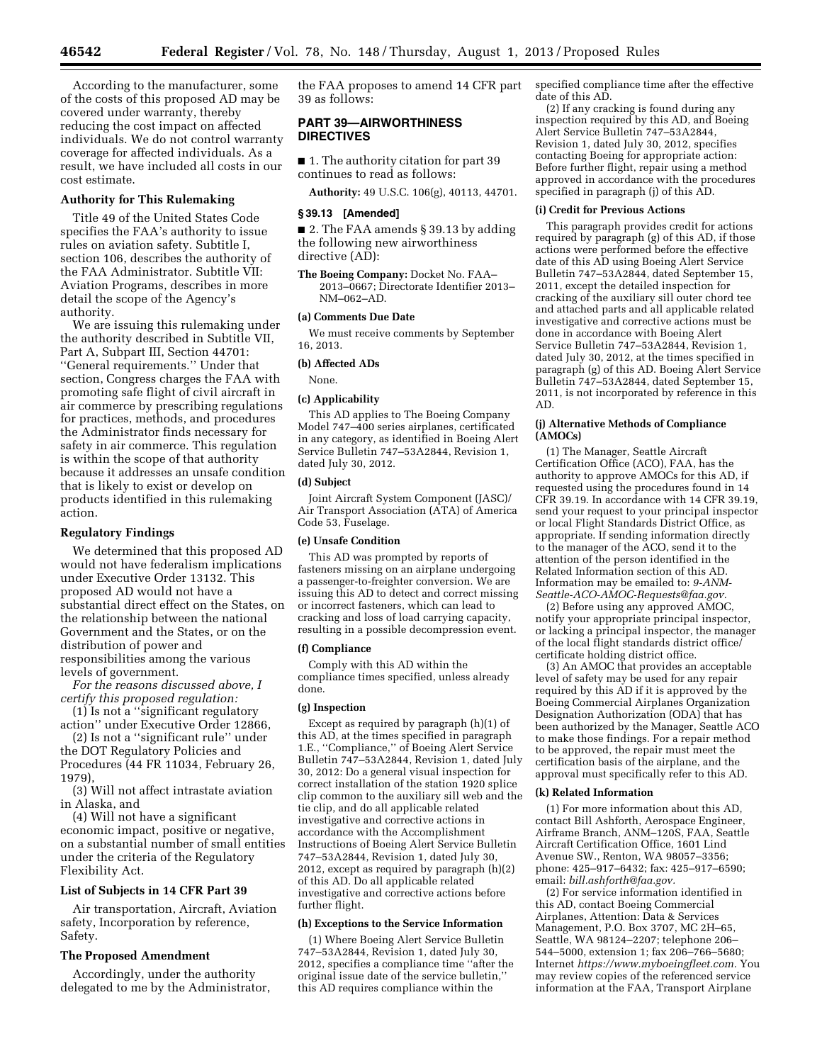According to the manufacturer, some of the costs of this proposed AD may be covered under warranty, thereby reducing the cost impact on affected individuals. We do not control warranty coverage for affected individuals. As a result, we have included all costs in our cost estimate.

### **Authority for This Rulemaking**

Title 49 of the United States Code specifies the FAA's authority to issue rules on aviation safety. Subtitle I, section 106, describes the authority of the FAA Administrator. Subtitle VII: Aviation Programs, describes in more detail the scope of the Agency's authority.

We are issuing this rulemaking under the authority described in Subtitle VII, Part A, Subpart III, Section 44701: ''General requirements.'' Under that section, Congress charges the FAA with promoting safe flight of civil aircraft in air commerce by prescribing regulations for practices, methods, and procedures the Administrator finds necessary for safety in air commerce. This regulation is within the scope of that authority because it addresses an unsafe condition that is likely to exist or develop on products identified in this rulemaking action.

#### **Regulatory Findings**

We determined that this proposed AD would not have federalism implications under Executive Order 13132. This proposed AD would not have a substantial direct effect on the States, on the relationship between the national Government and the States, or on the distribution of power and responsibilities among the various levels of government.

*For the reasons discussed above, I certify this proposed regulation:* 

(1) Is not a ''significant regulatory action'' under Executive Order 12866,

(2) Is not a ''significant rule'' under the DOT Regulatory Policies and Procedures (44 FR 11034, February 26, 1979)

(3) Will not affect intrastate aviation in Alaska, and

(4) Will not have a significant economic impact, positive or negative, on a substantial number of small entities under the criteria of the Regulatory Flexibility Act.

### **List of Subjects in 14 CFR Part 39**

Air transportation, Aircraft, Aviation safety, Incorporation by reference, Safety.

## **The Proposed Amendment**

Accordingly, under the authority delegated to me by the Administrator, the FAA proposes to amend 14 CFR part 39 as follows:

## **PART 39—AIRWORTHINESS DIRECTIVES**

■ 1. The authority citation for part 39 continues to read as follows:

**Authority:** 49 U.S.C. 106(g), 40113, 44701.

#### **§ 39.13 [Amended]**

■ 2. The FAA amends § 39.13 by adding the following new airworthiness directive (AD):

**The Boeing Company:** Docket No. FAA– 2013–0667; Directorate Identifier 2013– NM–062–AD.

### **(a) Comments Due Date**

We must receive comments by September 16, 2013.

### **(b) Affected ADs**

None.

#### **(c) Applicability**

This AD applies to The Boeing Company Model 747–400 series airplanes, certificated in any category, as identified in Boeing Alert Service Bulletin 747–53A2844, Revision 1, dated July 30, 2012.

### **(d) Subject**

Joint Aircraft System Component (JASC)/ Air Transport Association (ATA) of America Code 53, Fuselage.

#### **(e) Unsafe Condition**

This AD was prompted by reports of fasteners missing on an airplane undergoing a passenger-to-freighter conversion. We are issuing this AD to detect and correct missing or incorrect fasteners, which can lead to cracking and loss of load carrying capacity, resulting in a possible decompression event.

## **(f) Compliance**

Comply with this AD within the compliance times specified, unless already done.

## **(g) Inspection**

Except as required by paragraph (h)(1) of this AD, at the times specified in paragraph 1.E., ''Compliance,'' of Boeing Alert Service Bulletin 747–53A2844, Revision 1, dated July 30, 2012: Do a general visual inspection for correct installation of the station 1920 splice clip common to the auxiliary sill web and the tie clip, and do all applicable related investigative and corrective actions in accordance with the Accomplishment Instructions of Boeing Alert Service Bulletin 747–53A2844, Revision 1, dated July 30, 2012, except as required by paragraph (h)(2) of this AD. Do all applicable related investigative and corrective actions before further flight.

#### **(h) Exceptions to the Service Information**

(1) Where Boeing Alert Service Bulletin 747–53A2844, Revision 1, dated July 30, 2012, specifies a compliance time ''after the original issue date of the service bulletin,'' this AD requires compliance within the

specified compliance time after the effective date of this AD.

(2) If any cracking is found during any inspection required by this AD, and Boeing Alert Service Bulletin 747–53A2844, Revision 1, dated July 30, 2012, specifies contacting Boeing for appropriate action: Before further flight, repair using a method approved in accordance with the procedures specified in paragraph (j) of this AD.

### **(i) Credit for Previous Actions**

This paragraph provides credit for actions required by paragraph (g) of this AD, if those actions were performed before the effective date of this AD using Boeing Alert Service Bulletin 747–53A2844, dated September 15, 2011, except the detailed inspection for cracking of the auxiliary sill outer chord tee and attached parts and all applicable related investigative and corrective actions must be done in accordance with Boeing Alert Service Bulletin 747–53A2844, Revision 1, dated July 30, 2012, at the times specified in paragraph (g) of this AD. Boeing Alert Service Bulletin 747–53A2844, dated September 15, 2011, is not incorporated by reference in this AD.

#### **(j) Alternative Methods of Compliance (AMOCs)**

(1) The Manager, Seattle Aircraft Certification Office (ACO), FAA, has the authority to approve AMOCs for this AD, if requested using the procedures found in 14 CFR 39.19. In accordance with 14 CFR 39.19, send your request to your principal inspector or local Flight Standards District Office, as appropriate. If sending information directly to the manager of the ACO, send it to the attention of the person identified in the Related Information section of this AD. Information may be emailed to: *[9-ANM-](mailto:9-ANM-Seattle-ACO-AMOC-Requests@faa.gov)[Seattle-ACO-AMOC-Requests@faa.gov.](mailto:9-ANM-Seattle-ACO-AMOC-Requests@faa.gov)* 

(2) Before using any approved AMOC, notify your appropriate principal inspector, or lacking a principal inspector, the manager of the local flight standards district office/ certificate holding district office.

(3) An AMOC that provides an acceptable level of safety may be used for any repair required by this AD if it is approved by the Boeing Commercial Airplanes Organization Designation Authorization (ODA) that has been authorized by the Manager, Seattle ACO to make those findings. For a repair method to be approved, the repair must meet the certification basis of the airplane, and the approval must specifically refer to this AD.

#### **(k) Related Information**

(1) For more information about this AD, contact Bill Ashforth, Aerospace Engineer, Airframe Branch, ANM–120S, FAA, Seattle Aircraft Certification Office, 1601 Lind Avenue SW., Renton, WA 98057–3356; phone: 425–917–6432; fax: 425–917–6590; email: *[bill.ashforth@faa.gov.](mailto:bill.ashforth@faa.gov)* 

(2) For service information identified in this AD, contact Boeing Commercial Airplanes, Attention: Data & Services Management, P.O. Box 3707, MC 2H–65, Seattle, WA 98124–2207; telephone 206– 544–5000, extension 1; fax 206–766–5680; Internet *[https://www.myboeingfleet.com.](https://www.myboeingfleet.com)* You may review copies of the referenced service information at the FAA, Transport Airplane